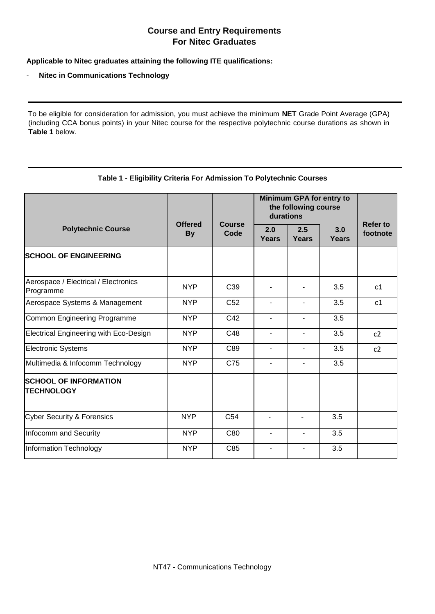## **Course and Entry Requirements For Nitec Graduates**

**Applicable to Nitec graduates attaining the following ITE qualifications:** 

## - **Nitec in Communications Technology**

To be eligible for consideration for admission, you must achieve the minimum **NET** Grade Point Average (GPA) (including CCA bonus points) in your Nitec course for the respective polytechnic course durations as shown in **Table 1** below.

|  | Table 1 - Eligibility Criteria For Admission To Polytechnic Courses |
|--|---------------------------------------------------------------------|
|  |                                                                     |

|                                                   | <b>Offered</b><br><b>By</b> | <b>Course</b><br>Code | Minimum GPA for entry to<br>the following course<br>durations |              |              |                             |
|---------------------------------------------------|-----------------------------|-----------------------|---------------------------------------------------------------|--------------|--------------|-----------------------------|
| <b>Polytechnic Course</b>                         |                             |                       | 2.0<br><b>Years</b>                                           | 2.5<br>Years | 3.0<br>Years | <b>Refer to</b><br>footnote |
| <b>SCHOOL OF ENGINEERING</b>                      |                             |                       |                                                               |              |              |                             |
| Aerospace / Electrical / Electronics<br>Programme | <b>NYP</b>                  | C <sub>39</sub>       |                                                               |              | 3.5          | c <sub>1</sub>              |
| Aerospace Systems & Management                    | <b>NYP</b>                  | C <sub>52</sub>       | $\overline{a}$                                                |              | 3.5          | c <sub>1</sub>              |
| Common Engineering Programme                      | <b>NYP</b>                  | C42                   | $\blacksquare$                                                |              | 3.5          |                             |
| <b>Electrical Engineering with Eco-Design</b>     | <b>NYP</b>                  | C48                   | $\overline{a}$                                                |              | 3.5          | c2                          |
| <b>Electronic Systems</b>                         | <b>NYP</b>                  | C89                   | $\blacksquare$                                                |              | 3.5          | c2                          |
| Multimedia & Infocomm Technology                  | <b>NYP</b>                  | C75                   | $\overline{\phantom{a}}$                                      |              | 3.5          |                             |
| <b>SCHOOL OF INFORMATION</b><br><b>TECHNOLOGY</b> |                             |                       |                                                               |              |              |                             |
| <b>Cyber Security &amp; Forensics</b>             | <b>NYP</b>                  | C <sub>54</sub>       |                                                               |              | 3.5          |                             |
| Infocomm and Security                             | <b>NYP</b>                  | C80                   | $\blacksquare$                                                |              | 3.5          |                             |
| Information Technology                            | <b>NYP</b>                  | C85                   |                                                               |              | 3.5          |                             |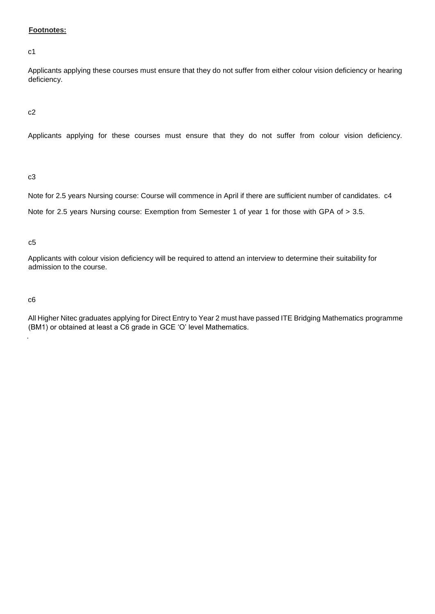## **Footnotes:**

c1

Applicants applying these courses must ensure that they do not suffer from either colour vision deficiency or hearing deficiency.

c2

Applicants applying for these courses must ensure that they do not suffer from colour vision deficiency.

c3

Note for 2.5 years Nursing course: Course will commence in April if there are sufficient number of candidates. c4 Note for 2.5 years Nursing course: Exemption from Semester 1 of year 1 for those with GPA of > 3.5.

c5

Applicants with colour vision deficiency will be required to attend an interview to determine their suitability for admission to the course.

c6

.

All Higher Nitec graduates applying for Direct Entry to Year 2 must have passed ITE Bridging Mathematics programme (BM1) or obtained at least a C6 grade in GCE 'O' level Mathematics.